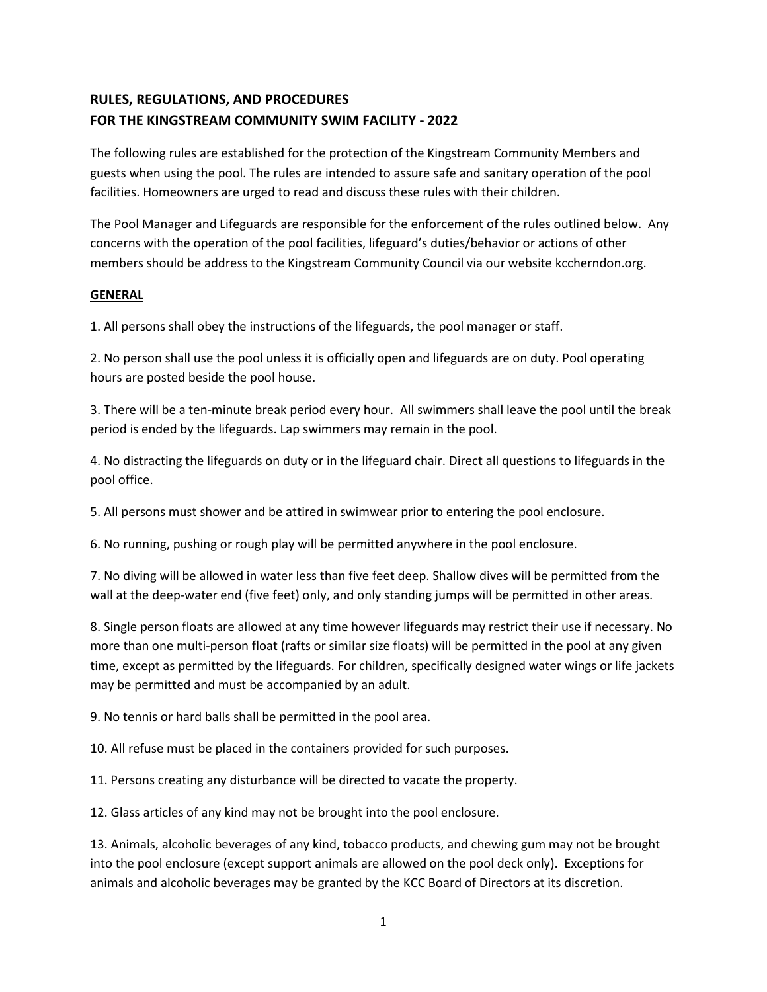# **RULES, REGULATIONS, AND PROCEDURES FOR THE KINGSTREAM COMMUNITY SWIM FACILITY - 2022**

The following rules are established for the protection of the Kingstream Community Members and guests when using the pool. The rules are intended to assure safe and sanitary operation of the pool facilities. Homeowners are urged to read and discuss these rules with their children.

The Pool Manager and Lifeguards are responsible for the enforcement of the rules outlined below. Any concerns with the operation of the pool facilities, lifeguard's duties/behavior or actions of other members should be address to the Kingstream Community Council via our website kccherndon.org.

#### **GENERAL**

1. All persons shall obey the instructions of the lifeguards, the pool manager or staff.

2. No person shall use the pool unless it is officially open and lifeguards are on duty. Pool operating hours are posted beside the pool house.

3. There will be a ten-minute break period every hour. All swimmers shall leave the pool until the break period is ended by the lifeguards. Lap swimmers may remain in the pool.

4. No distracting the lifeguards on duty or in the lifeguard chair. Direct all questions to lifeguards in the pool office.

5. All persons must shower and be attired in swimwear prior to entering the pool enclosure.

6. No running, pushing or rough play will be permitted anywhere in the pool enclosure.

7. No diving will be allowed in water less than five feet deep. Shallow dives will be permitted from the wall at the deep-water end (five feet) only, and only standing jumps will be permitted in other areas.

8. Single person floats are allowed at any time however lifeguards may restrict their use if necessary. No more than one multi-person float (rafts or similar size floats) will be permitted in the pool at any given time, except as permitted by the lifeguards. For children, specifically designed water wings or life jackets may be permitted and must be accompanied by an adult.

9. No tennis or hard balls shall be permitted in the pool area.

10. All refuse must be placed in the containers provided for such purposes.

11. Persons creating any disturbance will be directed to vacate the property.

12. Glass articles of any kind may not be brought into the pool enclosure.

13. Animals, alcoholic beverages of any kind, tobacco products, and chewing gum may not be brought into the pool enclosure (except support animals are allowed on the pool deck only). Exceptions for animals and alcoholic beverages may be granted by the KCC Board of Directors at its discretion.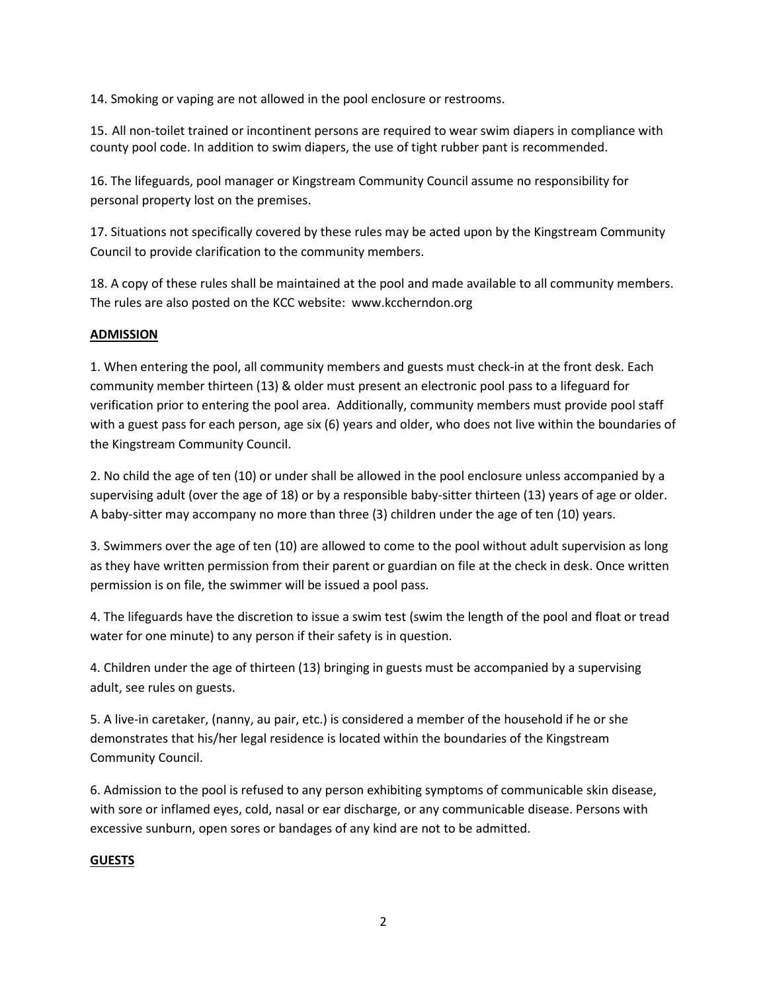14. Smoking or vaping are not allowed in the pool enclosure or restrooms.

15. All non-toilet trained or incontinent persons are required to wear swim diapers in compliance with county pool code. In addition to swim diapers, the use of tight rubber pant is recommended.

16. The lifeguards, pool manager or Kingstream Community Council assume no responsibility for personal property lost on the premises.

17. Situations not specifically covered by these rules may be acted upon by the Kingstream Community Council to provide clarification to the community members.

18. A copy of these rules shall be maintained at the pool and made available to all community members. The rules are also posted on the KCC website: www.kccherndon.org

## **ADMISSION**

1. When entering the pool, all community members and guests must check-in at the front desk. Each community member thirteen (13) & older must present an electronic pool pass to a lifeguard for verification prior to entering the pool area. Additionally, community members must provide pool staff with a guest pass for each person, age six (6) years and older, who does not live within the boundaries of the Kingstream Community Council.

2. No child the age of ten (10) or under shall be allowed in the pool enclosure unless accompanied by a supervising adult (over the age of 18) or by a responsible baby-sitter thirteen (13) years of age or older. A baby-sitter may accompany no more than three (3) children under the age of ten (10) years.

3. Swimmers over the age of ten (10) are allowed to come to the pool without adult supervision as long as they have written permission from their parent or guardian on file at the check in desk. Once written permission is on file, the swimmer will be issued a pool pass.

4. The lifeguards have the discretion to issue a swim test (swim the length of the pool and float or tread water for one minute) to any person if their safety is in question.

4. Children under the age of thirteen (13) bringing in guests must be accompanied by a supervising adult, see rules on guests.

5. A live-in caretaker, (nanny, au pair, etc.) is considered a member of the household if he or she demonstrates that his/her legal residence is located within the boundaries of the Kingstream Community Council.

6. Admission to the pool is refused to any person exhibiting symptoms of communicable skin disease, with sore or inflamed eyes, cold, nasal or ear discharge, or any communicable disease. Persons with excessive sunburn, open sores or bandages of any kind are not to be admitted.

# **GUESTS**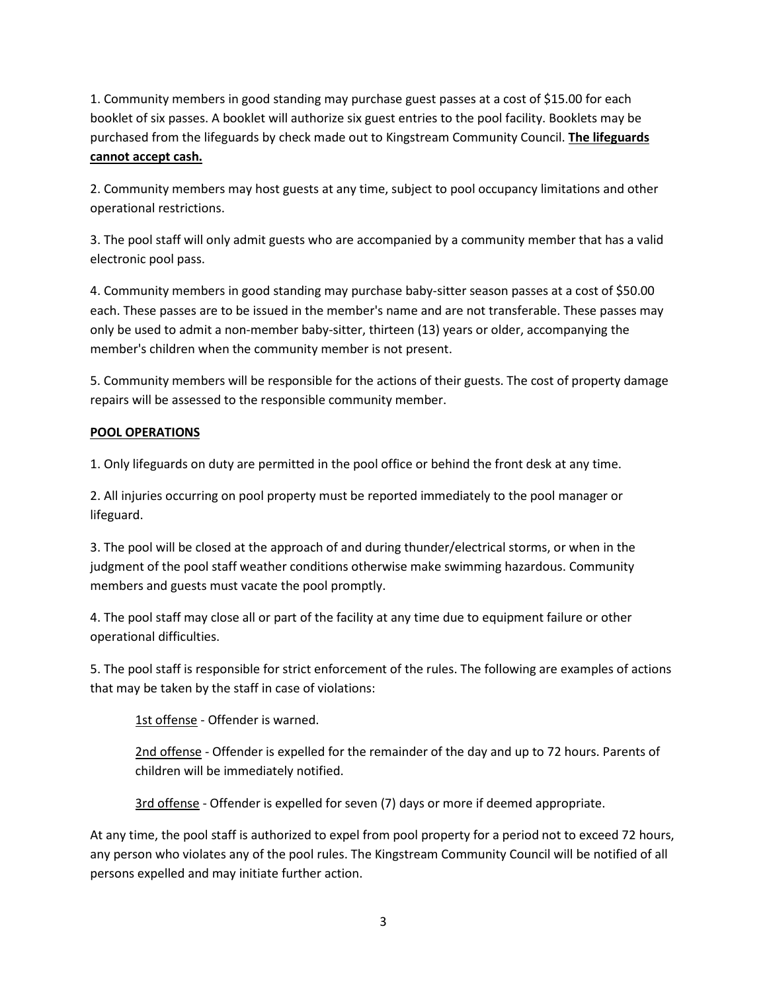1. Community members in good standing may purchase guest passes at a cost of \$15.00 for each booklet of six passes. A booklet will authorize six guest entries to the pool facility. Booklets may be purchased from the lifeguards by check made out to Kingstream Community Council. **The lifeguards cannot accept cash.** 

2. Community members may host guests at any time, subject to pool occupancy limitations and other operational restrictions.

3. The pool staff will only admit guests who are accompanied by a community member that has a valid electronic pool pass.

4. Community members in good standing may purchase baby-sitter season passes at a cost of \$50.00 each. These passes are to be issued in the member's name and are not transferable. These passes may only be used to admit a non-member baby-sitter, thirteen (13) years or older, accompanying the member's children when the community member is not present.

5. Community members will be responsible for the actions of their guests. The cost of property damage repairs will be assessed to the responsible community member.

# **POOL OPERATIONS**

1. Only lifeguards on duty are permitted in the pool office or behind the front desk at any time.

2. All injuries occurring on pool property must be reported immediately to the pool manager or lifeguard.

3. The pool will be closed at the approach of and during thunder/electrical storms, or when in the judgment of the pool staff weather conditions otherwise make swimming hazardous. Community members and guests must vacate the pool promptly.

4. The pool staff may close all or part of the facility at any time due to equipment failure or other operational difficulties.

5. The pool staff is responsible for strict enforcement of the rules. The following are examples of actions that may be taken by the staff in case of violations:

1st offense - Offender is warned.

2nd offense - Offender is expelled for the remainder of the day and up to 72 hours. Parents of children will be immediately notified.

3rd offense - Offender is expelled for seven (7) days or more if deemed appropriate.

At any time, the pool staff is authorized to expel from pool property for a period not to exceed 72 hours, any person who violates any of the pool rules. The Kingstream Community Council will be notified of all persons expelled and may initiate further action.